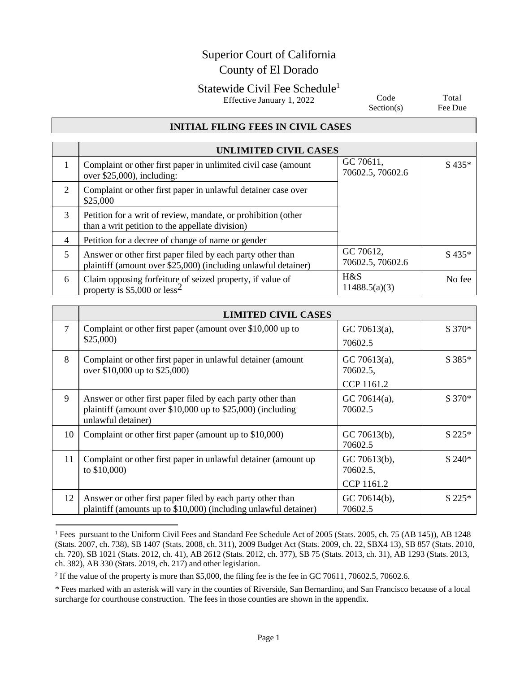# Superior Court of California County of El Dorado

## Statewide Civil Fee Schedule<sup>1</sup>

Effective January 1, 2022

Code Section(s)

Total Fee Due

#### **INITIAL FILING FEES IN CIVIL CASES**

|   | UNLIMITED CIVIL CASES                                                                                                        |                               |         |
|---|------------------------------------------------------------------------------------------------------------------------------|-------------------------------|---------|
|   | Complaint or other first paper in unlimited civil case (amount<br>over $$25,000$ , including:                                | GC 70611,<br>70602.5, 70602.6 | $$435*$ |
| 2 | Complaint or other first paper in unlawful detainer case over<br>\$25,000                                                    |                               |         |
| 3 | Petition for a writ of review, mandate, or prohibition (other<br>than a writ petition to the appellate division)             |                               |         |
| 4 | Petition for a decree of change of name or gender                                                                            |                               |         |
| 5 | Answer or other first paper filed by each party other than<br>plaintiff (amount over \$25,000) (including unlawful detainer) | GC 70612,<br>70602.5, 70602.6 | $$435*$ |
| 6 | Claim opposing forfeiture of seized property, if value of property is $$5,000$ or less <sup>2</sup>                          | H&S<br>11488.5(a)(3)          | No fee  |

|    | <b>LIMITED CIVIL CASES</b>                                                                                                                        |                                        |         |
|----|---------------------------------------------------------------------------------------------------------------------------------------------------|----------------------------------------|---------|
| 7  | Complaint or other first paper (amount over $$10,000$ up to<br>\$25,000                                                                           | GC 70613 $(a)$ ,<br>70602.5            | $$370*$ |
| 8  | Complaint or other first paper in unlawful detainer (amount<br>over \$10,000 up to \$25,000)                                                      | GC 70613(a),<br>70602.5,               | $$385*$ |
|    |                                                                                                                                                   | CCP 1161.2                             |         |
| 9  | Answer or other first paper filed by each party other than<br>plaintiff (amount over $$10,000$ up to $$25,000$ ) (including<br>unlawful detainer) | GC 70614 $(a)$ ,<br>70602.5            | $$370*$ |
| 10 | Complaint or other first paper (amount up to \$10,000)                                                                                            | GC 70613(b),<br>70602.5                | $$225*$ |
| 11 | Complaint or other first paper in unlawful detainer (amount up)<br>to $$10,000$ )                                                                 | GC 70613(b),<br>70602.5,<br>CCP 1161.2 | $$240*$ |
| 12 | Answer or other first paper filed by each party other than<br>plaintiff (amounts up to \$10,000) (including unlawful detainer)                    | GC 70614(b),<br>70602.5                | $$225*$ |

<sup>&</sup>lt;sup>1</sup> Fees pursuant to the Uniform Civil Fees and Standard Fee Schedule Act of 2005 (Stats. 2005, ch. 75 (AB 145)), AB 1248 (Stats. 2007, ch. 738), SB 1407 (Stats. 2008, ch. 311), 2009 Budget Act (Stats. 2009, ch. 22, SBX4 13), SB 857 (Stats. 2010, ch. 720), SB 1021 (Stats. 2012, ch. 41), AB 2612 (Stats. 2012, ch. 377), SB 75 (Stats. 2013, ch. 31), AB 1293 (Stats. 2013, ch. 382), AB 330 (Stats. 2019, ch. 217) and other legislation.

<sup>&</sup>lt;sup>2</sup> If the value of the property is more than \$5,000, the filing fee is the fee in GC 70611, 70602.5, 70602.6.

<sup>\*</sup> Fees marked with an asterisk will vary in the counties of Riverside, San Bernardino, and San Francisco because of a local surcharge for courthouse construction. The fees in those counties are shown in the appendix.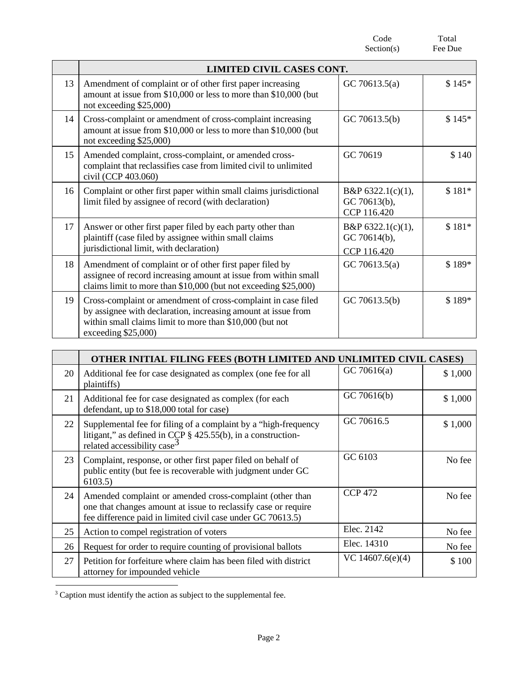Code Section(s) Total Fee Due **LIMITED CIVIL CASES CONT.** 13 Amendment of complaint or of other first paper increasing amount at issue from \$10,000 or less to more than \$10,000 (but not exceeding \$25,000) GC 70613.5(a)  $$145*$ 14 Cross-complaint or amendment of cross-complaint increasing amount at issue from \$10,000 or less to more than \$10,000 (but not exceeding \$25,000) GC 70613.5(b)  $$145*$ 15 Amended complaint, cross-complaint, or amended crosscomplaint that reclassifies case from limited civil to unlimited civil (CCP 403.060) GC 70619 \$140 16 Complaint or other first paper within small claims jurisdictional limit filed by assignee of record (with declaration) B&P 6322.1(c)(1), GC 70613(b), CCP 116.420 \$ 181\* 17 Answer or other first paper filed by each party other than plaintiff (case filed by assignee within small claims jurisdictional limit, with declaration) B&P 6322.1(c)(1), GC 70614(b), CCP 116.420 \$ 181\* 18 Amendment of complaint or of other first paper filed by assignee of record increasing amount at issue from within small claims limit to more than \$10,000 (but not exceeding \$25,000) GC 70613.5(a)  $\qquad$  \$ 189\* 19 Cross-complaint or amendment of cross-complaint in case filed by assignee with declaration, increasing amount at issue from within small claims limit to more than \$10,000 (but not exceeding \$25,000) GC 70613.5(b)  $$189*$ 

|    | OTHER INITIAL FILING FEES (BOTH LIMITED AND<br><b>UNLIMITED CIVIL CASES)</b>                                                                                                              |                    |         |
|----|-------------------------------------------------------------------------------------------------------------------------------------------------------------------------------------------|--------------------|---------|
| 20 | Additional fee for case designated as complex (one fee for all<br>plaintiffs)                                                                                                             | GC 70616(a)        | \$1,000 |
| 21 | Additional fee for case designated as complex (for each<br>defendant, up to \$18,000 total for case)                                                                                      | GC 70616(b)        | \$1,000 |
| 22 | Supplemental fee for filing of a complaint by a "high-frequency"<br>litigant," as defined in CCP § 425.55(b), in a construction-<br>related accessibility case <sup>3</sup>               | GC 70616.5         | \$1,000 |
| 23 | Complaint, response, or other first paper filed on behalf of<br>public entity (but fee is recoverable with judgment under GC<br>6103.5                                                    | GC 6103            | No fee  |
| 24 | Amended complaint or amended cross-complaint (other than<br>one that changes amount at issue to reclassify case or require<br>fee difference paid in limited civil case under GC 70613.5) | <b>CCP 472</b>     | No fee  |
| 25 | Action to compel registration of voters                                                                                                                                                   | Elec. 2142         | No fee  |
| 26 | Request for order to require counting of provisional ballots                                                                                                                              | Elec. 14310        | No fee  |
| 27 | Petition for forfeiture where claim has been filed with district<br>attorney for impounded vehicle                                                                                        | VC $14607.6(e)(4)$ | \$100   |

<sup>&</sup>lt;sup>3</sup> Caption must identify the action as subject to the supplemental fee.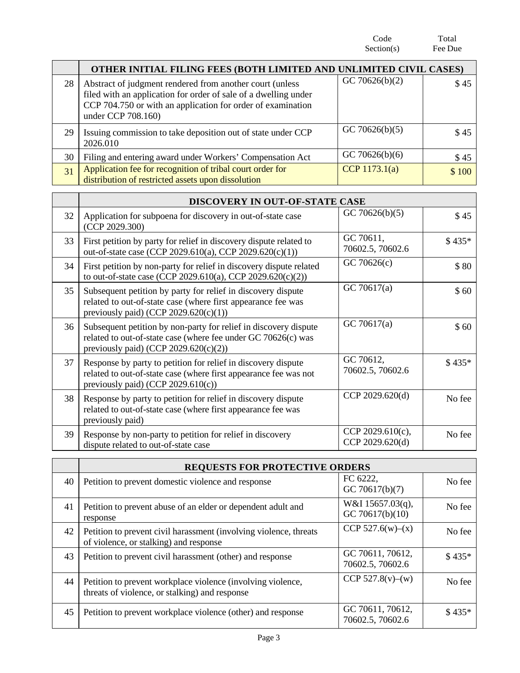Code Section(s) Total Fee Due **OTHER INITIAL FILING FEES (BOTH LIMITED AND UNLIMITED CIVIL CASES)** 28 | Abstract of judgment rendered from another court (unless filed with an application for order of sale of a dwelling under CCP 704.750 or with an application for order of examination under CCP 708.160) GC 70626(b)(2)  $\qquad$  \$45 29 Issuing commission to take deposition out of state under CCP 2026.010 GC 70626(b)(5)  $\qquad \qquad$  \$45  $30 \mid$  Filing and entering award under Workers' Compensation Act  $\mid$  GC 70626(b)(6)  $\mid$  \$ 45 31 Application fee for recognition of tribal court order for distribution of restricted assets upon dissolution CCP 1173.1(a)  $$100$ 

|    | DISCOVERY IN OUT-OF-STATE CASE                                                                                                                                                |                                     |         |
|----|-------------------------------------------------------------------------------------------------------------------------------------------------------------------------------|-------------------------------------|---------|
| 32 | Application for subpoena for discovery in out-of-state case<br>(CCP 2029.300)                                                                                                 | GC 70626(b)(5)                      | \$45    |
| 33 | First petition by party for relief in discovery dispute related to<br>out-of-state case (CCP 2029.610(a), CCP 2029.620(c)(1))                                                 | GC 70611,<br>70602.5, 70602.6       | $$435*$ |
| 34 | First petition by non-party for relief in discovery dispute related<br>to out-of-state case (CCP 2029.610(a), CCP 2029.620(c)(2))                                             | GC 70626(c)                         | \$80    |
| 35 | Subsequent petition by party for relief in discovery dispute<br>related to out-of-state case (where first appearance fee was<br>previously paid) (CCP 2029.620(c)(1))         | GC 70617(a)                         | \$60    |
| 36 | Subsequent petition by non-party for relief in discovery dispute<br>related to out-of-state case (where fee under GC 70626(c) was<br>previously paid) (CCP $2029.620(c)(2)$ ) | GC 70617(a)                         | \$60    |
| 37 | Response by party to petition for relief in discovery dispute<br>related to out-of-state case (where first appearance fee was not<br>previously paid) (CCP 2029.610(c))       | GC 70612,<br>70602.5, 70602.6       | $$435*$ |
| 38 | Response by party to petition for relief in discovery dispute<br>related to out-of-state case (where first appearance fee was<br>previously paid)                             | CCP 2029.620(d)                     | No fee  |
| 39 | Response by non-party to petition for relief in discovery<br>dispute related to out-of-state case                                                                             | CCP 2029.610(c),<br>CCP 2029.620(d) | No fee  |

|    | <b>REQUESTS FOR PROTECTIVE ORDERS</b>                                                                         |                                      |         |
|----|---------------------------------------------------------------------------------------------------------------|--------------------------------------|---------|
| 40 | Petition to prevent domestic violence and response                                                            | FC 6222,<br>GC 70617(b)(7)           | No fee  |
| 41 | Petition to prevent abuse of an elder or dependent adult and<br>response                                      | W&I 15657.03(q),<br>GC 70617(b)(10)  | No fee  |
| 42 | Petition to prevent civil harassment (involving violence, threats<br>of violence, or stalking) and response   | CCP $527.6(w)–(x)$                   | No fee  |
| 43 | Petition to prevent civil harassment (other) and response                                                     | GC 70611, 70612,<br>70602.5, 70602.6 | \$435*  |
| 44 | Petition to prevent workplace violence (involving violence,<br>threats of violence, or stalking) and response | CCP 527.8(v)–(w)                     | No fee  |
| 45 | Petition to prevent workplace violence (other) and response                                                   | GC 70611, 70612,<br>70602.5, 70602.6 | $$435*$ |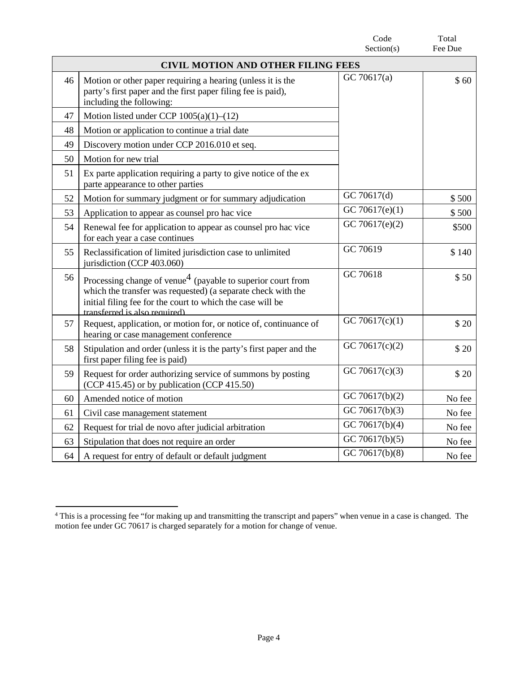|    |                                                                                                                                                                                                                                        | Code<br>Section(s)          | Total<br>Fee Due |
|----|----------------------------------------------------------------------------------------------------------------------------------------------------------------------------------------------------------------------------------------|-----------------------------|------------------|
|    | <b>CIVIL MOTION AND OTHER FILING FEES</b>                                                                                                                                                                                              |                             |                  |
| 46 | Motion or other paper requiring a hearing (unless it is the<br>party's first paper and the first paper filing fee is paid),<br>including the following:                                                                                | GC 70617(a)                 | \$60             |
| 47 | Motion listed under CCP $1005(a)(1)$ – $(12)$                                                                                                                                                                                          |                             |                  |
| 48 | Motion or application to continue a trial date                                                                                                                                                                                         |                             |                  |
| 49 | Discovery motion under CCP 2016.010 et seq.                                                                                                                                                                                            |                             |                  |
| 50 | Motion for new trial                                                                                                                                                                                                                   |                             |                  |
| 51 | Ex parte application requiring a party to give notice of the ex<br>parte appearance to other parties                                                                                                                                   |                             |                  |
| 52 | Motion for summary judgment or for summary adjudication                                                                                                                                                                                | GC 70617(d)                 | \$500            |
| 53 | Application to appear as counsel pro hac vice                                                                                                                                                                                          | GC 70617(e)(1)              | \$500            |
| 54 | Renewal fee for application to appear as counsel pro hac vice<br>for each year a case continues                                                                                                                                        | GC 70617 $(e)(2)$           | \$500            |
| 55 | Reclassification of limited jurisdiction case to unlimited<br>jurisdiction (CCP 403.060)                                                                                                                                               | GC 70619                    | \$140            |
| 56 | Processing change of venue <sup>4</sup> (payable to superior court from<br>which the transfer was requested) (a separate check with the<br>initial filing fee for the court to which the case will be<br>transferred is also required) | GC 70618                    | \$50             |
| 57 | Request, application, or motion for, or notice of, continuance of<br>hearing or case management conference                                                                                                                             | GC 70617 $(c)(1)$           | \$20             |
| 58 | Stipulation and order (unless it is the party's first paper and the<br>first paper filing fee is paid)                                                                                                                                 | GC 70617(c)(2)              | \$20             |
| 59 | Request for order authorizing service of summons by posting<br>(CCP 415.45) or by publication (CCP 415.50)                                                                                                                             | GC 70617(c)(3)              | \$20             |
| 60 | Amended notice of motion                                                                                                                                                                                                               | GC 70617(b)(2)              | No fee           |
| 61 | Civil case management statement                                                                                                                                                                                                        | $\overline{GC}$ 70617(b)(3) | No fee           |
| 62 | Request for trial de novo after judicial arbitration                                                                                                                                                                                   | GC 70617(b)(4)              | No fee           |
| 63 | Stipulation that does not require an order                                                                                                                                                                                             | GC 70617(b)(5)              | No fee           |
| 64 | A request for entry of default or default judgment                                                                                                                                                                                     | GC 70617(b)(8)              | No fee           |

<sup>&</sup>lt;sup>4</sup> This is a processing fee "for making up and transmitting the transcript and papers" when venue in a case is changed. The motion fee under GC 70617 is charged separately for a motion for change of venue.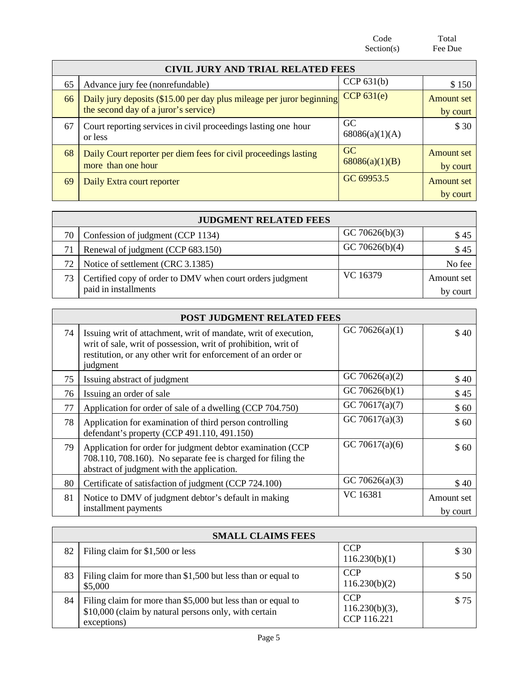Code Section(s) Total Fee Due **CIVIL JURY AND TRIAL RELATED FEES**<br>refundable) CCP 631(b) 65 Advance jury fee (nonrefundable)<br>
66 Daily jury denosits (\$15.00 per day plus mileage per juror beginning CCP 631(e) Amount set 66 Daily jury deposits (\$15.00 per day plus mileage per juror beginning the second day of a juror's service) Amount set by court 67 Court reporting services in civil proceedings lasting one hour or less GC 68086(a)(1)(A) \$ 30 68 Daily Court reporter per diem fees for civil proceedings lasting more than one hour GC 68086(a)(1)(B) Amount set by court

|      | <b>JUDGMENT RELATED FEES</b>                                                      |                |                        |
|------|-----------------------------------------------------------------------------------|----------------|------------------------|
| 70 L | Confession of judgment (CCP 1134)                                                 | GC 70626(b)(3) | \$45                   |
|      | Renewal of judgment (CCP 683.150)                                                 | GC 70626(b)(4) | \$45                   |
| 72   | Notice of settlement (CRC 3.1385)                                                 |                | No fee                 |
| 73   | Certified copy of order to DMV when court orders judgment<br>paid in installments | VC 16379       | Amount set<br>by court |

69 Daily Extra court reporter GC 69953.5 Amount set

by court

|    | POST JUDGMENT RELATED FEES                                                                                                                                                                                     |                   |                        |  |
|----|----------------------------------------------------------------------------------------------------------------------------------------------------------------------------------------------------------------|-------------------|------------------------|--|
| 74 | Issuing writ of attachment, writ of mandate, writ of execution,<br>writ of sale, writ of possession, writ of prohibition, writ of<br>restitution, or any other writ for enforcement of an order or<br>judgment | GC 70626(a)(1)    | \$40                   |  |
| 75 | Issuing abstract of judgment                                                                                                                                                                                   | GC 70626(a) $(2)$ | \$40                   |  |
| 76 | Issuing an order of sale                                                                                                                                                                                       | GC 70626(b) $(1)$ | \$45                   |  |
| 77 | Application for order of sale of a dwelling (CCP 704.750)                                                                                                                                                      | GC 70617(a)(7)    | \$60                   |  |
| 78 | Application for examination of third person controlling<br>defendant's property (CCP 491.110, 491.150)                                                                                                         | GC 70617(a)(3)    | \$60                   |  |
| 79 | Application for order for judgment debtor examination (CCP<br>708.110, 708.160). No separate fee is charged for filing the<br>abstract of judgment with the application.                                       | GC 70617(a)(6)    | \$60                   |  |
| 80 | Certificate of satisfaction of judgment (CCP 724.100)                                                                                                                                                          | GC 70626(a)(3)    | \$40                   |  |
| 81 | Notice to DMV of judgment debtor's default in making<br>installment payments                                                                                                                                   | VC 16381          | Amount set<br>by court |  |

|    | <b>SMALL CLAIMS FEES</b>                                                                                                             |                                                |       |  |
|----|--------------------------------------------------------------------------------------------------------------------------------------|------------------------------------------------|-------|--|
| 82 | Filing claim for \$1,500 or less                                                                                                     | <b>CCP</b><br>116.230(b)(1)                    | \$ 30 |  |
| 83 | Filing claim for more than \$1,500 but less than or equal to<br>\$5,000                                                              | <b>CCP</b><br>116.230(b)(2)                    | \$50  |  |
| 84 | Filing claim for more than \$5,000 but less than or equal to<br>\$10,000 (claim by natural persons only, with certain<br>exceptions) | <b>CCP</b><br>$116.230(b)(3)$ ,<br>CCP 116.221 | \$75  |  |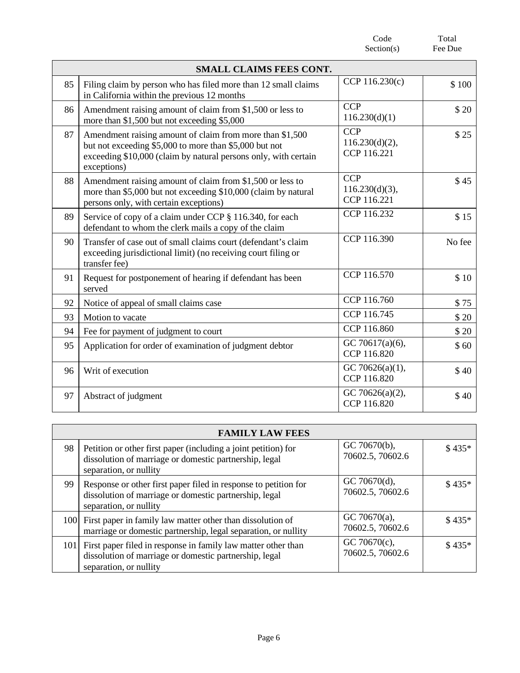|    |                                                                                                                                                                                                      | Code<br>Section(s)                             | Total<br>Fee Due |
|----|------------------------------------------------------------------------------------------------------------------------------------------------------------------------------------------------------|------------------------------------------------|------------------|
|    | <b>SMALL CLAIMS FEES CONT.</b>                                                                                                                                                                       |                                                |                  |
| 85 | Filing claim by person who has filed more than 12 small claims<br>in California within the previous 12 months                                                                                        | CCP 116.230(c)                                 | \$100            |
| 86 | Amendment raising amount of claim from \$1,500 or less to<br>more than \$1,500 but not exceeding \$5,000                                                                                             | <b>CCP</b><br>116.230(d)(1)                    | \$20             |
| 87 | Amendment raising amount of claim from more than \$1,500<br>but not exceeding \$5,000 to more than \$5,000 but not<br>exceeding \$10,000 (claim by natural persons only, with certain<br>exceptions) | <b>CCP</b><br>$116.230(d)(2)$ ,<br>CCP 116.221 | \$25             |
| 88 | Amendment raising amount of claim from \$1,500 or less to<br>more than \$5,000 but not exceeding \$10,000 (claim by natural<br>persons only, with certain exceptions)                                | <b>CCP</b><br>$116.230(d)(3)$ ,<br>CCP 116.221 | \$45             |
| 89 | Service of copy of a claim under CCP § 116.340, for each<br>defendant to whom the clerk mails a copy of the claim                                                                                    | CCP 116.232                                    | \$15             |
| 90 | Transfer of case out of small claims court (defendant's claim<br>exceeding jurisdictional limit) (no receiving court filing or<br>transfer fee)                                                      | CCP 116.390                                    | No fee           |
| 91 | Request for postponement of hearing if defendant has been<br>served                                                                                                                                  | CCP 116.570                                    | \$10             |
| 92 | Notice of appeal of small claims case                                                                                                                                                                | CCP 116.760                                    | \$75             |
| 93 | Motion to vacate                                                                                                                                                                                     | CCP 116.745                                    | \$20             |
| 94 | Fee for payment of judgment to court                                                                                                                                                                 | CCP 116.860                                    | \$20             |
| 95 | Application for order of examination of judgment debtor                                                                                                                                              | GC 70617(a)(6),<br>CCP 116.820                 | \$60             |
| 96 | Writ of execution                                                                                                                                                                                    | GC 70626(a)(1),<br>CCP 116.820                 | \$40             |
| 97 | Abstract of judgment                                                                                                                                                                                 | GC 70626(a)(2),<br>CCP 116.820                 | \$40             |

|    | <b>FAMILY LAW FEES</b>                                                                                                                                |                                      |         |
|----|-------------------------------------------------------------------------------------------------------------------------------------------------------|--------------------------------------|---------|
| 98 | Petition or other first paper (including a joint petition) for<br>dissolution of marriage or domestic partnership, legal<br>separation, or nullity    | GC 70670(b),<br>70602.5, 70602.6     | $$435*$ |
| 99 | Response or other first paper filed in response to petition for<br>dissolution of marriage or domestic partnership, legal<br>separation, or nullity   | GC 70670(d),<br>70602.5, 70602.6     | $$435*$ |
|    | 100 First paper in family law matter other than dissolution of<br>marriage or domestic partnership, legal separation, or nullity                      | GC 70670 $(a)$ ,<br>70602.5, 70602.6 | $$435*$ |
|    | 101 First paper filed in response in family law matter other than<br>dissolution of marriage or domestic partnership, legal<br>separation, or nullity | GC 70670 $(c)$ ,<br>70602.5, 70602.6 | $$435*$ |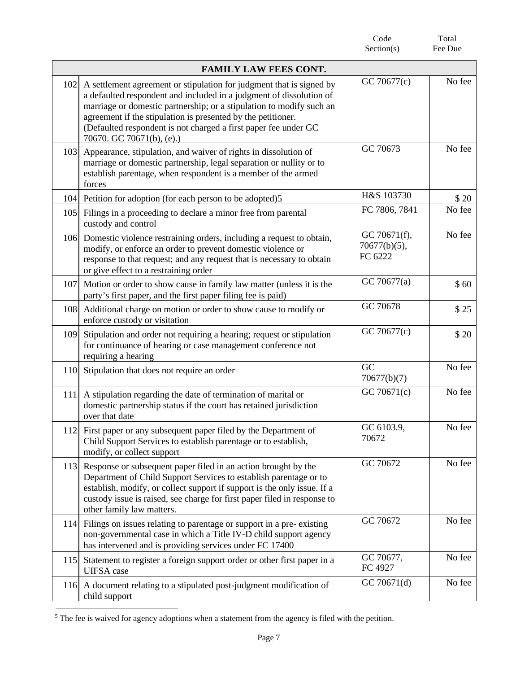|     |                                                                                                                                                                                                                                                                                                                                                                                     | Code<br>Section(s)                      | Total<br>Fee Due |
|-----|-------------------------------------------------------------------------------------------------------------------------------------------------------------------------------------------------------------------------------------------------------------------------------------------------------------------------------------------------------------------------------------|-----------------------------------------|------------------|
|     | <b>FAMILY LAW FEES CONT.</b>                                                                                                                                                                                                                                                                                                                                                        |                                         |                  |
| 102 | A settlement agreement or stipulation for judgment that is signed by<br>a defaulted respondent and included in a judgment of dissolution of<br>marriage or domestic partnership; or a stipulation to modify such an<br>agreement if the stipulation is presented by the petitioner.<br>(Defaulted respondent is not charged a first paper fee under GC<br>70670. GC 70671(b), (e).) | GC 70677(c)                             | No fee           |
| 103 | Appearance, stipulation, and waiver of rights in dissolution of<br>marriage or domestic partnership, legal separation or nullity or to<br>establish parentage, when respondent is a member of the armed<br>forces                                                                                                                                                                   | GC 70673                                | No fee           |
|     | 104 Petition for adoption (for each person to be adopted)5                                                                                                                                                                                                                                                                                                                          | H&S 103730                              | \$20             |
| 105 | Filings in a proceeding to declare a minor free from parental<br>custody and control                                                                                                                                                                                                                                                                                                | FC 7806, 7841                           | No fee           |
| 106 | Domestic violence restraining orders, including a request to obtain,<br>modify, or enforce an order to prevent domestic violence or<br>response to that request; and any request that is necessary to obtain<br>or give effect to a restraining order                                                                                                                               | GC 70671(f),<br>70677(b)(5),<br>FC 6222 | No fee           |
| 107 | Motion or order to show cause in family law matter (unless it is the<br>party's first paper, and the first paper filing fee is paid)                                                                                                                                                                                                                                                | GC 70677(a)                             | \$60             |
| 108 | Additional charge on motion or order to show cause to modify or<br>enforce custody or visitation                                                                                                                                                                                                                                                                                    | GC 70678                                | \$25             |
| 109 | Stipulation and order not requiring a hearing; request or stipulation<br>for continuance of hearing or case management conference not<br>requiring a hearing                                                                                                                                                                                                                        | GC 70677(c)                             | \$20             |
| 110 | Stipulation that does not require an order                                                                                                                                                                                                                                                                                                                                          | GC<br>70677(b)(7)                       | No fee           |
| 111 | A stipulation regarding the date of termination of marital or<br>domestic partnership status if the court has retained jurisdiction<br>over that date                                                                                                                                                                                                                               | GC 70671(c)                             | No fee           |
| 112 | First paper or any subsequent paper filed by the Department of<br>Child Support Services to establish parentage or to establish,<br>modify, or collect support                                                                                                                                                                                                                      | GC 6103.9,<br>70672                     | No fee           |
| 113 | Response or subsequent paper filed in an action brought by the<br>Department of Child Support Services to establish parentage or to<br>establish, modify, or collect support if support is the only issue. If a<br>custody issue is raised, see charge for first paper filed in response to<br>other family law matters.                                                            | GC 70672                                | No fee           |
| 114 | Filings on issues relating to parentage or support in a pre-existing<br>non-governmental case in which a Title IV-D child support agency<br>has intervened and is providing services under FC 17400                                                                                                                                                                                 | GC 70672                                | No fee           |
| 115 | Statement to register a foreign support order or other first paper in a<br><b>UIFSA</b> case                                                                                                                                                                                                                                                                                        | GC 70677,<br>FC 4927                    | No fee           |
| 116 | A document relating to a stipulated post-judgment modification of<br>child support                                                                                                                                                                                                                                                                                                  | GC 70671(d)                             | No fee           |

<sup>&</sup>lt;sup>5</sup> The fee is waived for agency adoptions when a statement from the agency is filed with the petition.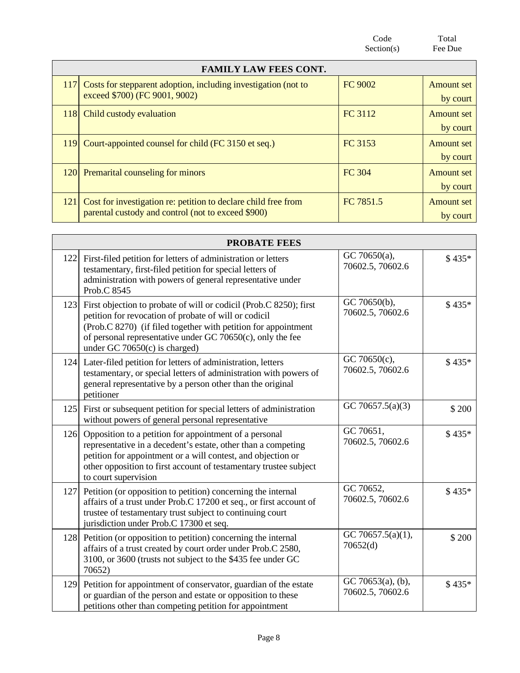Code Section(s) Total Fee Due **FAMILY LAW FEES CONT.** 117 Costs for stepparent adoption, including investigation (not to exceed \$700) (FC 9001, 9002) FC 9002 Amount set by court 118 Child custody evaluation **FC 3112** Amount set by court 119 Court-appointed counsel for child (FC 3150 et seq.) FC 3153 Amount set by court 120 Premarital counseling for minors FC 304 Amount set by court 121 Cost for investigation re: petition to declare child free from parental custody and control (not to exceed \$900) FC 7851.5 Amount set by court

|     | <b>PROBATE FEES</b>                                                                                                                                                                                                                                                                                 |                                       |         |
|-----|-----------------------------------------------------------------------------------------------------------------------------------------------------------------------------------------------------------------------------------------------------------------------------------------------------|---------------------------------------|---------|
| 122 | First-filed petition for letters of administration or letters<br>testamentary, first-filed petition for special letters of<br>administration with powers of general representative under<br>Prob.C 8545                                                                                             | GC 70650(a),<br>70602.5, 70602.6      | $$435*$ |
| 123 | First objection to probate of will or codicil (Prob.C 8250); first<br>petition for revocation of probate of will or codicil<br>(Prob.C 8270) (if filed together with petition for appointment<br>of personal representative under GC 70650 $(c)$ , only the fee<br>under GC 70650 $(c)$ is charged) | GC 70650(b),<br>70602.5, 70602.6      | $$435*$ |
| 124 | Later-filed petition for letters of administration, letters<br>testamentary, or special letters of administration with powers of<br>general representative by a person other than the original<br>petitioner                                                                                        | GC 70650(c),<br>70602.5, 70602.6      | \$435*  |
| 125 | First or subsequent petition for special letters of administration<br>without powers of general personal representative                                                                                                                                                                             | GC 70657.5(a)(3)                      | \$200   |
| 126 | Opposition to a petition for appointment of a personal<br>representative in a decedent's estate, other than a competing<br>petition for appointment or a will contest, and objection or<br>other opposition to first account of testamentary trustee subject<br>to court supervision                | GC 70651,<br>70602.5, 70602.6         | $$435*$ |
| 127 | Petition (or opposition to petition) concerning the internal<br>affairs of a trust under Prob.C 17200 et seq., or first account of<br>trustee of testamentary trust subject to continuing court<br>jurisdiction under Prob.C 17300 et seq.                                                          | GC 70652,<br>70602.5, 70602.6         | \$435*  |
| 128 | Petition (or opposition to petition) concerning the internal<br>affairs of a trust created by court order under Prob.C 2580,<br>3100, or 3600 (trusts not subject to the \$435 fee under GC<br>70652)                                                                                               | GC 70657.5(a)(1),<br>70652(d)         | \$200   |
| 129 | Petition for appointment of conservator, guardian of the estate<br>or guardian of the person and estate or opposition to these<br>petitions other than competing petition for appointment                                                                                                           | GC 70653(a), (b),<br>70602.5, 70602.6 | $$435*$ |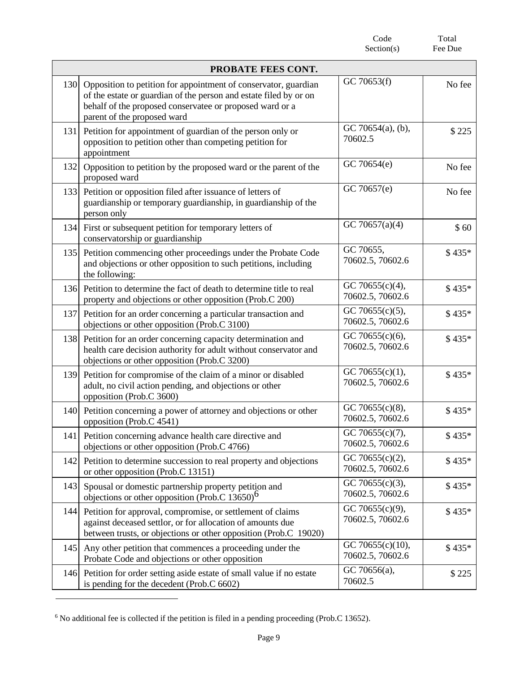|     |                                                                                                                                                                                                                                 | Code<br>Section(s)                      | Total<br>Fee Due |
|-----|---------------------------------------------------------------------------------------------------------------------------------------------------------------------------------------------------------------------------------|-----------------------------------------|------------------|
|     | PROBATE FEES CONT.                                                                                                                                                                                                              |                                         |                  |
| 130 | Opposition to petition for appointment of conservator, guardian<br>of the estate or guardian of the person and estate filed by or on<br>behalf of the proposed conservatee or proposed ward or a<br>parent of the proposed ward | GC 70653(f)                             | No fee           |
| 131 | Petition for appointment of guardian of the person only or<br>opposition to petition other than competing petition for<br>appointment                                                                                           | GC 70654(a), (b),<br>70602.5            | \$225            |
| 132 | Opposition to petition by the proposed ward or the parent of the<br>proposed ward                                                                                                                                               | GC 70654(e)                             | No fee           |
|     | 133 Petition or opposition filed after issuance of letters of<br>guardianship or temporary guardianship, in guardianship of the<br>person only                                                                                  | GC 70657(e)                             | No fee           |
|     | 134 First or subsequent petition for temporary letters of<br>conservatorship or guardianship                                                                                                                                    | GC 70657(a)(4)                          | \$60             |
| 135 | Petition commencing other proceedings under the Probate Code<br>and objections or other opposition to such petitions, including<br>the following:                                                                               | GC 70655,<br>70602.5, 70602.6           | \$435*           |
|     | 136 Petition to determine the fact of death to determine title to real<br>property and objections or other opposition (Prob.C 200)                                                                                              | GC 70655(c)(4),<br>70602.5, 70602.6     | \$435*           |
| 137 | Petition for an order concerning a particular transaction and<br>objections or other opposition (Prob.C 3100)                                                                                                                   | GC 70655 $(c)(5)$ ,<br>70602.5, 70602.6 | \$435*           |
|     | 138 Petition for an order concerning capacity determination and<br>health care decision authority for adult without conservator and<br>objections or other opposition (Prob.C 3200)                                             | GC 70655(c)(6),<br>70602.5, 70602.6     | $$435*$          |
| 139 | Petition for compromise of the claim of a minor or disabled<br>adult, no civil action pending, and objections or other<br>opposition (Prob.C 3600)                                                                              | GC 70655 $(c)(1)$ ,<br>70602.5, 70602.6 | $$435*$          |
|     | 140 Petition concerning a power of attorney and objections or other<br>opposition (Prob.C 4541)                                                                                                                                 | GC 70655(c)(8),<br>70602.5, 70602.6     | \$435*           |
| 141 | Petition concerning advance health care directive and<br>objections or other opposition (Prob.C 4766)                                                                                                                           | GC 70655(c)(7),<br>70602.5, 70602.6     | $$435*$          |
| 142 | Petition to determine succession to real property and objections<br>or other opposition (Prob.C 13151)                                                                                                                          | GC 70655(c)(2),<br>70602.5, 70602.6     | \$435*           |
| 143 | Spousal or domestic partnership property petition and<br>objections or other opposition (Prob.C $13650$ ) <sup>6</sup>                                                                                                          | GC 70655(c)(3),<br>70602.5, 70602.6     | \$435*           |
| 144 | Petition for approval, compromise, or settlement of claims<br>against deceased settlor, or for allocation of amounts due<br>between trusts, or objections or other opposition (Prob.C 19020)                                    | GC 70655(c)(9),<br>70602.5, 70602.6     | \$435*           |
| 145 | Any other petition that commences a proceeding under the<br>Probate Code and objections or other opposition                                                                                                                     | GC 70655(c)(10),<br>70602.5, 70602.6    | \$435*           |
| 146 | Petition for order setting aside estate of small value if no estate<br>is pending for the decedent (Prob.C 6602)                                                                                                                | GC 70656(a),<br>70602.5                 | \$225            |

<sup>6</sup> No additional fee is collected if the petition is filed in a pending proceeding (Prob.C 13652).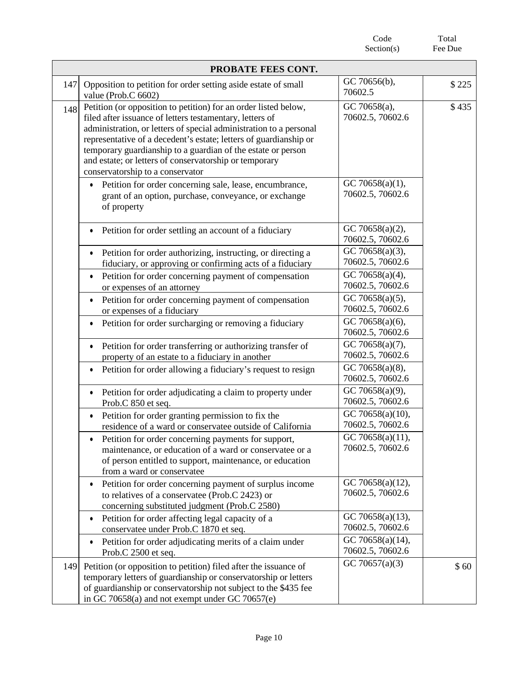|     |                                                                                                                                                                                                                                                                                                                                                                                                                                      | Code<br>Section(s)                   | Total<br>Fee Due |
|-----|--------------------------------------------------------------------------------------------------------------------------------------------------------------------------------------------------------------------------------------------------------------------------------------------------------------------------------------------------------------------------------------------------------------------------------------|--------------------------------------|------------------|
|     | PROBATE FEES CONT.                                                                                                                                                                                                                                                                                                                                                                                                                   |                                      |                  |
| 147 | Opposition to petition for order setting aside estate of small<br>value (Prob.C 6602)                                                                                                                                                                                                                                                                                                                                                | GC 70656(b),<br>70602.5              | \$225            |
| 148 | Petition (or opposition to petition) for an order listed below,<br>filed after issuance of letters testamentary, letters of<br>administration, or letters of special administration to a personal<br>representative of a decedent's estate; letters of guardianship or<br>temporary guardianship to a guardian of the estate or person<br>and estate; or letters of conservatorship or temporary<br>conservatorship to a conservator | GC 70658(a),<br>70602.5, 70602.6     | \$435            |
|     | Petition for order concerning sale, lease, encumbrance,<br>$\bullet$<br>grant of an option, purchase, conveyance, or exchange<br>of property                                                                                                                                                                                                                                                                                         | GC 70658(a)(1),<br>70602.5, 70602.6  |                  |
|     | • Petition for order settling an account of a fiduciary                                                                                                                                                                                                                                                                                                                                                                              | GC 70658(a)(2),<br>70602.5, 70602.6  |                  |
|     | Petition for order authorizing, instructing, or directing a<br>fiduciary, or approving or confirming acts of a fiduciary                                                                                                                                                                                                                                                                                                             | GC 70658(a)(3),<br>70602.5, 70602.6  |                  |
|     | Petition for order concerning payment of compensation<br>$\bullet$<br>or expenses of an attorney                                                                                                                                                                                                                                                                                                                                     | GC 70658(a)(4),<br>70602.5, 70602.6  |                  |
|     | Petition for order concerning payment of compensation<br>$\bullet$<br>or expenses of a fiduciary                                                                                                                                                                                                                                                                                                                                     | GC 70658(a)(5),<br>70602.5, 70602.6  |                  |
|     | Petition for order surcharging or removing a fiduciary                                                                                                                                                                                                                                                                                                                                                                               | GC 70658(a)(6),<br>70602.5, 70602.6  |                  |
|     | Petition for order transferring or authorizing transfer of<br>$\bullet$<br>property of an estate to a fiduciary in another                                                                                                                                                                                                                                                                                                           | GC 70658(a)(7),<br>70602.5, 70602.6  |                  |
|     | Petition for order allowing a fiduciary's request to resign<br>٠                                                                                                                                                                                                                                                                                                                                                                     | GC 70658(a)(8),<br>70602.5, 70602.6  |                  |
|     | Petition for order adjudicating a claim to property under<br>$\bullet$<br>Prob.C 850 et seq.                                                                                                                                                                                                                                                                                                                                         | GC 70658(a)(9),<br>70602.5, 70602.6  |                  |
|     | Petition for order granting permission to fix the<br>residence of a ward or conservatee outside of California                                                                                                                                                                                                                                                                                                                        | GC 70658(a)(10),<br>70602.5, 70602.6 |                  |
|     | Petition for order concerning payments for support,<br>٠<br>maintenance, or education of a ward or conservatee or a<br>of person entitled to support, maintenance, or education<br>from a ward or conservatee                                                                                                                                                                                                                        | GC 70658(a)(11),<br>70602.5, 70602.6 |                  |
|     | Petition for order concerning payment of surplus income<br>$\bullet$<br>to relatives of a conservatee (Prob.C 2423) or<br>concerning substituted judgment (Prob.C 2580)                                                                                                                                                                                                                                                              | GC 70658(a)(12),<br>70602.5, 70602.6 |                  |
|     | Petition for order affecting legal capacity of a<br>$\bullet$<br>conservatee under Prob.C 1870 et seq.                                                                                                                                                                                                                                                                                                                               | GC 70658(a)(13),<br>70602.5, 70602.6 |                  |
|     | Petition for order adjudicating merits of a claim under<br>٠<br>Prob.C 2500 et seq.                                                                                                                                                                                                                                                                                                                                                  | GC 70658(a)(14),<br>70602.5, 70602.6 |                  |
| 149 | Petition (or opposition to petition) filed after the issuance of<br>temporary letters of guardianship or conservatorship or letters<br>of guardianship or conservatorship not subject to the \$435 fee<br>in GC 70658(a) and not exempt under GC 70657(e)                                                                                                                                                                            | GC 70657(a)(3)                       | \$60             |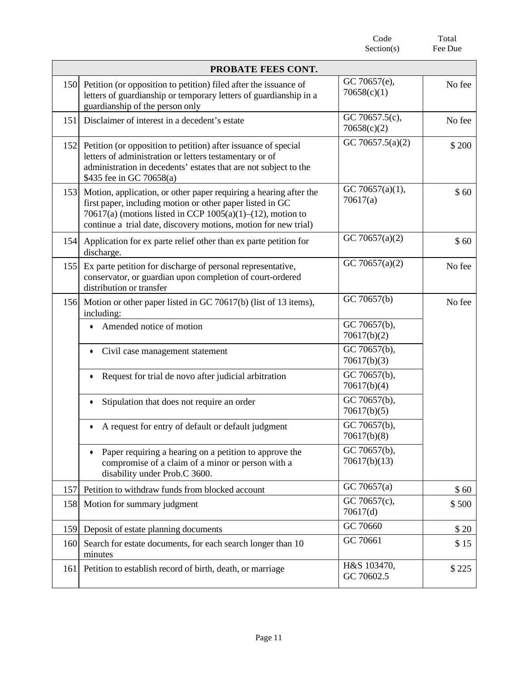|     |                                                                                                                                                                                                                                                                    | Code<br>Section(s)            | Total<br>Fee Due |
|-----|--------------------------------------------------------------------------------------------------------------------------------------------------------------------------------------------------------------------------------------------------------------------|-------------------------------|------------------|
|     | PROBATE FEES CONT.                                                                                                                                                                                                                                                 |                               |                  |
| 150 | Petition (or opposition to petition) filed after the issuance of<br>letters of guardianship or temporary letters of guardianship in a<br>guardianship of the person only                                                                                           | GC 70657(e),<br>70658(c)(1)   | No fee           |
| 151 | Disclaimer of interest in a decedent's estate                                                                                                                                                                                                                      | GC 70657.5(c),<br>70658(c)(2) | No fee           |
| 152 | Petition (or opposition to petition) after issuance of special<br>letters of administration or letters testamentary or of<br>administration in decedents' estates that are not subject to the<br>\$435 fee in GC 70658(a)                                          | GC 70657.5(a)(2)              | \$200            |
| 153 | Motion, application, or other paper requiring a hearing after the<br>first paper, including motion or other paper listed in GC<br>70617(a) (motions listed in CCP $1005(a)(1)$ –(12), motion to<br>continue a trial date, discovery motions, motion for new trial) | GC 70657(a)(1),<br>70617(a)   | \$60             |
| 154 | Application for ex parte relief other than ex parte petition for<br>discharge.                                                                                                                                                                                     | GC 70657(a)(2)                | \$60             |
| 155 | Ex parte petition for discharge of personal representative,<br>conservator, or guardian upon completion of court-ordered<br>distribution or transfer                                                                                                               | GC 70657(a)(2)                | No fee           |
| 156 | Motion or other paper listed in GC 70617(b) (list of 13 items),<br>including:                                                                                                                                                                                      | GC 70657(b)                   | No fee           |
|     | Amended notice of motion                                                                                                                                                                                                                                           | GC 70657(b),<br>70617(b)(2)   |                  |
|     | Civil case management statement                                                                                                                                                                                                                                    | GC 70657(b),<br>70617(b)(3)   |                  |
|     | Request for trial de novo after judicial arbitration                                                                                                                                                                                                               | GC 70657(b),<br>70617(b)(4)   |                  |
|     | Stipulation that does not require an order                                                                                                                                                                                                                         | GC 70657(b),<br>70617(b)(5)   |                  |
|     | A request for entry of default or default judgment                                                                                                                                                                                                                 | GC 70657(b),<br>70617(b)(8)   |                  |
|     | Paper requiring a hearing on a petition to approve the<br>٠<br>compromise of a claim of a minor or person with a<br>disability under Prob.C 3600.                                                                                                                  | GC 70657(b),<br>70617(b)(13)  |                  |
| 157 | Petition to withdraw funds from blocked account                                                                                                                                                                                                                    | GC 70657(a)                   | \$60             |
| 158 | Motion for summary judgment                                                                                                                                                                                                                                        | GC 70657(c),<br>70617(d)      | \$500            |
| 159 | Deposit of estate planning documents                                                                                                                                                                                                                               | GC 70660                      | \$20             |
| 160 | Search for estate documents, for each search longer than 10<br>minutes                                                                                                                                                                                             | GC 70661                      | \$15             |
| 161 | Petition to establish record of birth, death, or marriage                                                                                                                                                                                                          | H&S 103470,<br>GC 70602.5     | \$225            |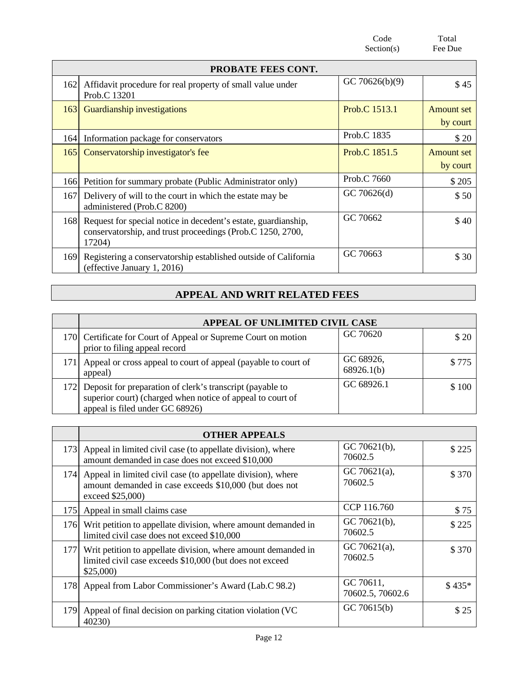|     |                                                                                                                                        | Code<br>Section(s) | Total<br>Fee Due       |
|-----|----------------------------------------------------------------------------------------------------------------------------------------|--------------------|------------------------|
|     | PROBATE FEES CONT.                                                                                                                     |                    |                        |
| 162 | Affidavit procedure for real property of small value under<br>Prob.C 13201                                                             | GC 70626(b)(9)     | \$45                   |
| 163 | Guardianship investigations                                                                                                            | Prob.C 1513.1      | Amount set<br>by court |
| 164 | Information package for conservators                                                                                                   | Prob.C 1835        | \$20                   |
| 165 | Conservatorship investigator's fee                                                                                                     | Prob.C 1851.5      | Amount set<br>by court |
|     | 166 Petition for summary probate (Public Administrator only)                                                                           | Prob.C 7660        | \$205                  |
| 167 | Delivery of will to the court in which the estate may be<br>administered (Prob.C 8200)                                                 | GC 70626(d)        | \$50                   |
| 168 | Request for special notice in decedent's estate, guardianship,<br>conservatorship, and trust proceedings (Prob.C 1250, 2700,<br>17204) | GC 70662           | \$40                   |
| 169 | Registering a conservatorship established outside of California<br>(effective January 1, 2016)                                         | GC 70663           | \$30                   |

## **APPEAL AND WRIT RELATED FEES**

| APPEAL OF UNLIMITED CIVIL CASE                                                                                                                                 |                         |       |
|----------------------------------------------------------------------------------------------------------------------------------------------------------------|-------------------------|-------|
| 170 Certificate for Court of Appeal or Supreme Court on motion<br>prior to filing appeal record                                                                | GC 70620                | \$ 20 |
| Appeal or cross appeal to court of appeal (payable to court of<br>appeal)                                                                                      | GC 68926,<br>68926.1(b) | \$775 |
| 172 Deposit for preparation of clerk's transcript (payable to<br>superior court) (charged when notice of appeal to court of<br>appeal is filed under GC 68926) | GC 68926.1              | \$100 |

|     | <b>OTHER APPEALS</b>                                                                                                                          |                               |         |
|-----|-----------------------------------------------------------------------------------------------------------------------------------------------|-------------------------------|---------|
|     | 173 Appeal in limited civil case (to appellate division), where<br>amount demanded in case does not exceed \$10,000                           | GC $70621(b)$ ,<br>70602.5    | \$225   |
|     | 174 Appeal in limited civil case (to appellate division), where<br>amount demanded in case exceeds \$10,000 (but does not<br>exceed \$25,000) | GC 70621(a),<br>70602.5       | \$370   |
|     | 175 Appeal in small claims case                                                                                                               | CCP 116.760                   | \$75    |
|     | 176 Writ petition to appellate division, where amount demanded in<br>limited civil case does not exceed \$10,000                              | $GC 70621(b)$ ,<br>70602.5    | \$225   |
|     | 177 Writ petition to appellate division, where amount demanded in<br>limited civil case exceeds \$10,000 (but does not exceed<br>\$25,000     | GC 70621(a),<br>70602.5       | \$370   |
|     | 178 Appeal from Labor Commissioner's Award (Lab.C 98.2)                                                                                       | GC 70611,<br>70602.5, 70602.6 | $$435*$ |
| 179 | Appeal of final decision on parking citation violation (VC)<br>40230)                                                                         | GC 70615(b)                   | \$25    |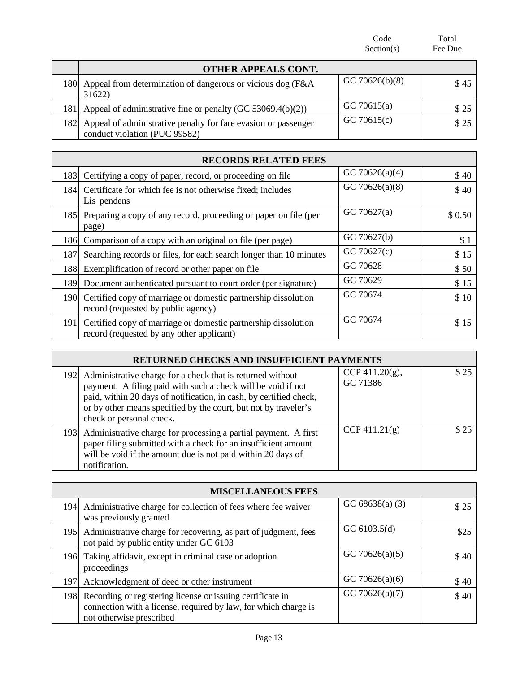|      |                                                                                                 | Code<br>Section(s) | Total<br>Fee Due |
|------|-------------------------------------------------------------------------------------------------|--------------------|------------------|
|      | <b>OTHER APPEALS CONT.</b>                                                                      |                    |                  |
| 1801 | Appeal from determination of dangerous or vicious dog (F&A)<br>31622)                           | GC 70626(b)(8)     | \$45             |
|      | 181 Appeal of administrative fine or penalty (GC 53069.4(b)(2))                                 | GC 70615(a)        | \$25             |
| 182  | Appeal of administrative penalty for fare evasion or passenger<br>conduct violation (PUC 99582) | GC 70615(c)        | \$25             |

|      | <b>RECORDS RELATED FEES</b>                                                                                 |                   |        |  |
|------|-------------------------------------------------------------------------------------------------------------|-------------------|--------|--|
| 183  | Certifying a copy of paper, record, or proceeding on file                                                   | GC 70626(a)(4)    | \$40   |  |
|      | 184 Certificate for which fee is not otherwise fixed; includes<br>Lis pendens                               | GC 70626(a) $(8)$ | \$40   |  |
|      | 185 Preparing a copy of any record, proceeding or paper on file (per<br>page)                               | GC 70627(a)       | \$0.50 |  |
|      | 186 Comparison of a copy with an original on file (per page)                                                | GC 70627(b)       | \$1    |  |
| 187  | Searching records or files, for each search longer than 10 minutes                                          | GC 70627(c)       | \$15   |  |
| 188  | Exemplification of record or other paper on file                                                            | GC 70628          | \$50   |  |
| 1891 | Document authenticated pursuant to court order (per signature)                                              | GC 70629          | \$15   |  |
| 1901 | Certified copy of marriage or domestic partnership dissolution<br>record (requested by public agency)       | GC 70674          | \$10   |  |
| 1911 | Certified copy of marriage or domestic partnership dissolution<br>record (requested by any other applicant) | GC 70674          | \$15   |  |

| RETURNED CHECKS AND INSUFFICIENT PAYMENTS                                                                                                                                                                                                                                                           |                                |      |  |
|-----------------------------------------------------------------------------------------------------------------------------------------------------------------------------------------------------------------------------------------------------------------------------------------------------|--------------------------------|------|--|
| 192 Administrative charge for a check that is returned without<br>payment. A filing paid with such a check will be void if not<br>paid, within 20 days of notification, in cash, by certified check,<br>or by other means specified by the court, but not by traveler's<br>check or personal check. | CCP 411.20 $(g)$ ,<br>GC 71386 | \$25 |  |
| 193 Administrative charge for processing a partial payment. A first<br>paper filing submitted with a check for an insufficient amount<br>will be void if the amount due is not paid within 20 days of<br>notification.                                                                              | CCP 411.21(g)                  | \$25 |  |

| <b>MISCELLANEOUS FEES</b>                                                                                                                                     |                   |      |
|---------------------------------------------------------------------------------------------------------------------------------------------------------------|-------------------|------|
| 194 Administrative charge for collection of fees where fee waiver<br>was previously granted                                                                   | GC $68638(a)$ (3) | \$25 |
| 195 Administrative charge for recovering, as part of judgment, fees<br>not paid by public entity under GC 6103                                                | GC $6103.5(d)$    | \$25 |
| 196 Taking affidavit, except in criminal case or adoption<br>proceedings                                                                                      | GC 70626(a)(5)    | \$40 |
| 197 Acknowledgment of deed or other instrument                                                                                                                | GC 70626(a)(6)    | \$40 |
| 198 Recording or registering license or issuing certificate in<br>connection with a license, required by law, for which charge is<br>not otherwise prescribed | GC 70626(a)(7)    | \$40 |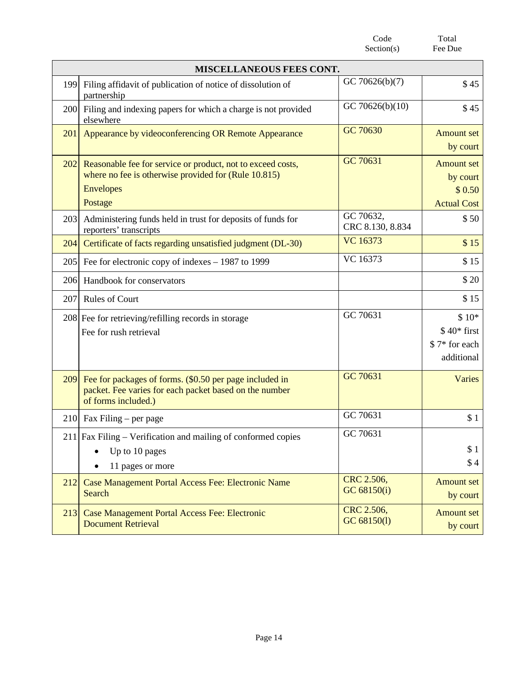|     |                                                                                                                                                    | Section(s)                    | Fee Due                                                       |
|-----|----------------------------------------------------------------------------------------------------------------------------------------------------|-------------------------------|---------------------------------------------------------------|
|     | <b>MISCELLANEOUS FEES CONT.</b>                                                                                                                    |                               |                                                               |
| 199 | Filing affidavit of publication of notice of dissolution of<br>partnership                                                                         | GC 70626(b)(7)                | \$45                                                          |
| 200 | Filing and indexing papers for which a charge is not provided<br>elsewhere                                                                         | GC 70626(b)(10)               | \$45                                                          |
| 201 | Appearance by videoconferencing OR Remote Appearance                                                                                               | GC 70630                      | <b>Amount set</b><br>by court                                 |
| 202 | Reasonable fee for service or product, not to exceed costs,<br>where no fee is otherwise provided for (Rule 10.815)<br><b>Envelopes</b><br>Postage | GC 70631                      | <b>Amount set</b><br>by court<br>\$0.50<br><b>Actual Cost</b> |
| 203 | Administering funds held in trust for deposits of funds for<br>reporters' transcripts                                                              | GC 70632,<br>CRC 8.130, 8.834 | \$50                                                          |
| 204 | Certificate of facts regarding unsatisfied judgment (DL-30)                                                                                        | <b>VC</b> 16373               | \$15                                                          |
| 205 | Fee for electronic copy of indexes $-1987$ to 1999                                                                                                 | VC 16373                      | \$15                                                          |
| 206 | Handbook for conservators                                                                                                                          |                               | \$20                                                          |
| 207 | <b>Rules of Court</b>                                                                                                                              |                               | \$15                                                          |
|     | 208 Fee for retrieving/refilling records in storage<br>Fee for rush retrieval                                                                      | GC 70631                      | $$10*$<br>$$40*$ first<br>\$7* for each<br>additional         |
| 209 | Fee for packages of forms. (\$0.50 per page included in<br>packet. Fee varies for each packet based on the number<br>of forms included.)           | GC 70631                      | Varies                                                        |
|     | 210 Fax Filing – per page                                                                                                                          | GC 70631                      | \$1                                                           |
|     | $211$ Fax Filing – Verification and mailing of conformed copies<br>Up to 10 pages<br>11 pages or more                                              | GC 70631                      | \$1<br>\$4                                                    |
| 212 | Case Management Portal Access Fee: Electronic Name<br>Search                                                                                       | CRC 2.506,<br>GC 68150(i)     | <b>Amount set</b><br>by court                                 |
| 213 | Case Management Portal Access Fee: Electronic<br><b>Document Retrieval</b>                                                                         | CRC 2.506,<br>GC 68150(1)     | <b>Amount set</b><br>by court                                 |

Code

Total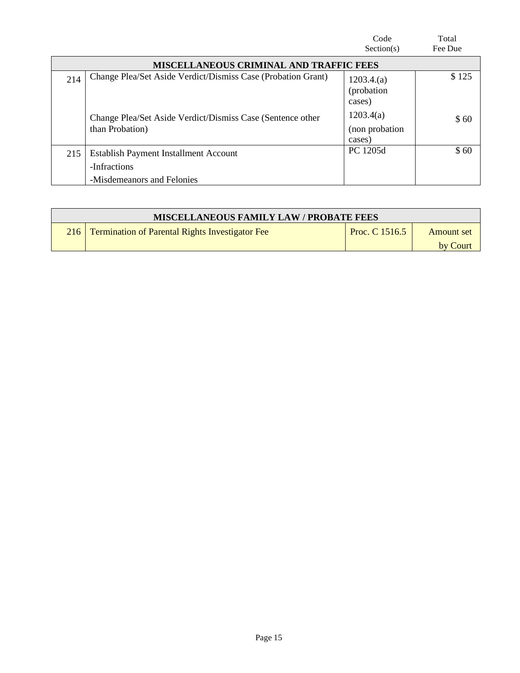|                                                |                                                                                     | Code<br>Section(s)                     | Total<br>Fee Due |  |  |  |
|------------------------------------------------|-------------------------------------------------------------------------------------|----------------------------------------|------------------|--|--|--|
| <b>MISCELLANEOUS CRIMINAL AND TRAFFIC FEES</b> |                                                                                     |                                        |                  |  |  |  |
| 214                                            | Change Plea/Set Aside Verdict/Dismiss Case (Probation Grant)                        | 1203.4(a)<br>(probation)<br>cases)     | \$125            |  |  |  |
|                                                | Change Plea/Set Aside Verdict/Dismiss Case (Sentence other<br>than Probation)       | 1203.4(a)<br>(non probation)<br>cases) | \$60             |  |  |  |
| 215                                            | Establish Payment Installment Account<br>-Infractions<br>-Misdemeanors and Felonies | PC 1205d                               | \$60             |  |  |  |

| <b>MISCELLANEOUS FAMILY LAW / PROBATE FEES</b> |                                                        |                |                   |  |  |
|------------------------------------------------|--------------------------------------------------------|----------------|-------------------|--|--|
|                                                | <b>Termination of Parental Rights Investigator Fee</b> | Proc. C 1516.5 | <b>Amount</b> set |  |  |
|                                                |                                                        |                | by Court          |  |  |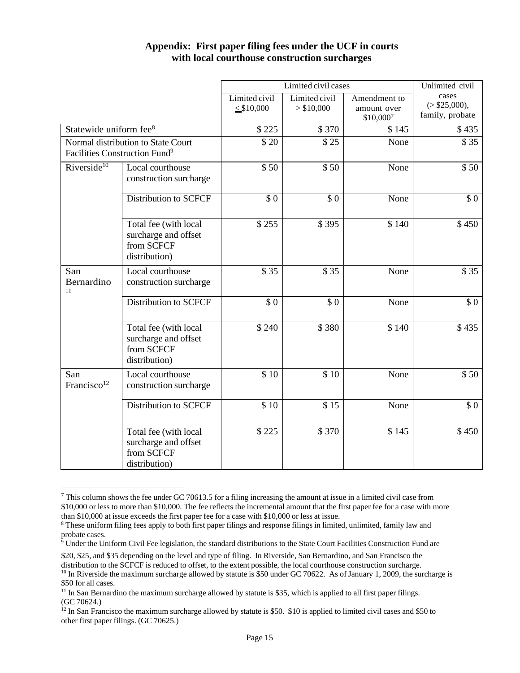|                                                                                 |                                                                              | Limited civil cases              |                             |                                            | Unlimited civil                            |
|---------------------------------------------------------------------------------|------------------------------------------------------------------------------|----------------------------------|-----------------------------|--------------------------------------------|--------------------------------------------|
|                                                                                 |                                                                              | Limited civil<br>$\leq$ \$10,000 | Limited civil<br>> \$10,000 | Amendment to<br>amount over<br>$$10,000^7$ | cases<br>( > \$25,000),<br>family, probate |
| Statewide uniform fee <sup>8</sup>                                              |                                                                              | \$225                            | \$370                       | \$145                                      | \$435                                      |
| Normal distribution to State Court<br>Facilities Construction Fund <sup>9</sup> |                                                                              | \$20                             | \$25                        | None                                       | \$35                                       |
| Riverside <sup>10</sup>                                                         | Local courthouse<br>construction surcharge                                   | \$50                             | \$50                        | None                                       | \$50                                       |
|                                                                                 | <b>Distribution to SCFCF</b>                                                 | \$0                              | \$0                         | None                                       | \$0                                        |
|                                                                                 | Total fee (with local<br>surcharge and offset<br>from SCFCF<br>distribution) | \$255                            | \$395                       | \$140                                      | \$450                                      |
| San<br>Bernardino<br>11                                                         | Local courthouse<br>construction surcharge                                   | \$35                             | \$35                        | None                                       | \$35                                       |
|                                                                                 | <b>Distribution to SCFCF</b>                                                 | \$0                              | \$0                         | None                                       | \$0                                        |
|                                                                                 | Total fee (with local<br>surcharge and offset<br>from SCFCF<br>distribution) | \$240                            | \$380                       | \$140                                      | \$435                                      |
| San<br>Francisco <sup>12</sup>                                                  | Local courthouse<br>construction surcharge                                   | \$10                             | \$10                        | None                                       | \$50                                       |
|                                                                                 | <b>Distribution to SCFCF</b>                                                 | $$10$                            | \$15                        | None                                       | \$0                                        |
|                                                                                 | Total fee (with local<br>surcharge and offset<br>from SCFCF<br>distribution) | \$225                            | \$370                       | \$145                                      | \$450                                      |

#### **Appendix: First paper filing fees under the UCF in courts with local courthouse construction surcharges**

<sup>7</sup> This column shows the fee under GC 70613.5 for a filing increasing the amount at issue in a limited civil case from \$10,000 or less to more than \$10,000. The fee reflects the incremental amount that the first paper fee for a case with more than \$10,000 at issue exceeds the first paper fee for a case with \$10,000 or less at issue.

<sup>8</sup> These uniform filing fees apply to both first paper filings and response filings in limited, unlimited, family law and probate cases.

 $9$  Under the Uniform Civil Fee legislation, the standard distributions to the State Court Facilities Construction Fund are

<sup>\$20,</sup> \$25, and \$35 depending on the level and type of filing. In Riverside, San Bernardino, and San Francisco the distribution to the SCFCF is reduced to offset, to the extent possible, the local courthouse construction surcharge. <sup>10</sup> In Riverside the maximum surcharge allowed by statute is \$50 under GC 70622. As of January 1, 2009, the surcharge is \$50 for all cases.

<sup>&</sup>lt;sup>11</sup> In San Bernardino the maximum surcharge allowed by statute is \$35, which is applied to all first paper filings. (GC 70624.)

<sup>&</sup>lt;sup>12</sup> In San Francisco the maximum surcharge allowed by statute is \$50. \$10 is applied to limited civil cases and \$50 to other first paper filings. (GC 70625.)